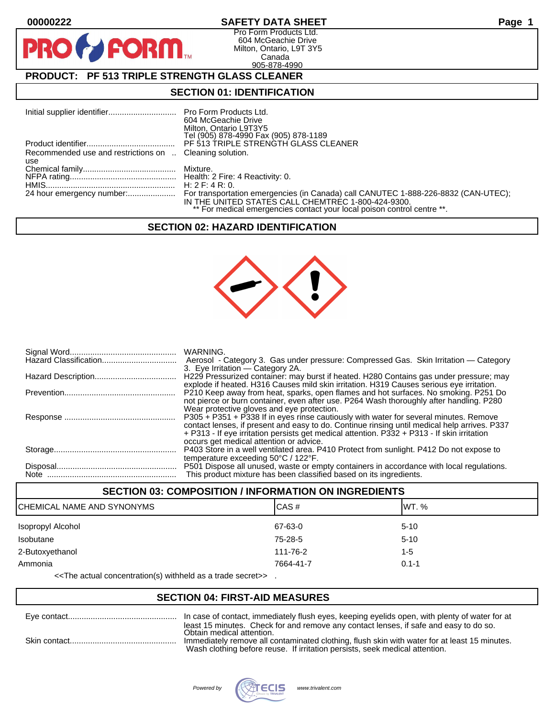**PIP** 

## **00000222 SAFETY DATA SHEET Page 1**

Pro Form Products Ltd. 604 McGeachie Drive Milton, Ontario, L9T 3Y5 Canada 905-878-4990

# **PRODUCT: PF 513 TRIPLE STRENGTH GLASS CLEANER**

**FORM.** 

#### **SECTION 01: IDENTIFICATION**

|                                                         | 604 McGeachie Drive<br>Milton, Ontario L9T3Y5<br>Tel (905) 878-4990 Fax (905) 878-1189                                        |
|---------------------------------------------------------|-------------------------------------------------------------------------------------------------------------------------------|
|                                                         |                                                                                                                               |
| Recommended use and restrictions on  Cleaning solution. |                                                                                                                               |
| use                                                     |                                                                                                                               |
|                                                         |                                                                                                                               |
|                                                         |                                                                                                                               |
|                                                         |                                                                                                                               |
|                                                         | IN THE UNITED STATES CALL CHEMTREC 1-800-424-9300.<br>** For medical emergencies contact your local poison control centre **. |

#### **SECTION 02: HAZARD IDENTIFICATION**



| WARNING.<br>3. Eye Irritation — Category 2A.                                                                                                                                                                                                                                                                                    |
|---------------------------------------------------------------------------------------------------------------------------------------------------------------------------------------------------------------------------------------------------------------------------------------------------------------------------------|
| H229 Pressurized container: may burst if heated. H280 Contains gas under pressure; may<br>explode if heated. H316 Causes mild skin irritation. H319 Causes serious eye irritation.                                                                                                                                              |
| P210 Keep away from heat, sparks, open flames and hot surfaces. No smoking. P251 Do<br>not pierce or burn container, even after use. P264 Wash thoroughly after handling. P280<br>Wear protective gloves and eye protection.                                                                                                    |
| P305 + P351 + P338 If in eyes rinse cautiously with water for several minutes. Remove<br>contact lenses, if present and easy to do. Continue rinsing until medical help arrives. P337<br>+ P313 - If eye irritation persists get medical attention. P332 + P313 - If skin irritation<br>occurs get medical attention or advice. |
| P403 Store in a well ventilated area. P410 Protect from sunlight. P412 Do not expose to<br>temperature exceeding $50^{\circ}$ C / 122 $^{\circ}$ F.                                                                                                                                                                             |
| P501 Dispose all unused, waste or empty containers in accordance with local regulations.<br>This product mixture has been classified based on its ingredients.                                                                                                                                                                  |

#### **SECTION 03: COMPOSITION / INFORMATION ON INGREDIENTS**

| ICHEMICAL NAME AND SYNONYMS | CAS#      | IWT. %    |
|-----------------------------|-----------|-----------|
| Isopropyl Alcohol           | 67-63-0   | $5 - 10$  |
| Isobutane                   | 75-28-5   | $5 - 10$  |
| 2-Butoxyethanol             | 111-76-2  | $1 - 5$   |
| Ammonia                     | 7664-41-7 | $0.1 - 1$ |

<<The actual concentration(s) withheld as a trade secret>> .

#### **SECTION 04: FIRST-AID MEASURES**

| In case of contact, immediately flush eyes, keeping eyelids open, with plenty of water for at                                                                               |
|-----------------------------------------------------------------------------------------------------------------------------------------------------------------------------|
| least 15 minutes. Check for and remove any contact lenses, if safe and easy to do so.<br>Obtain medical attention.                                                          |
| Immediately remove all contaminated clothing, flush skin with water for at least 15 minutes.<br>Wash clothing before reuse. If irritation persists, seek medical attention. |

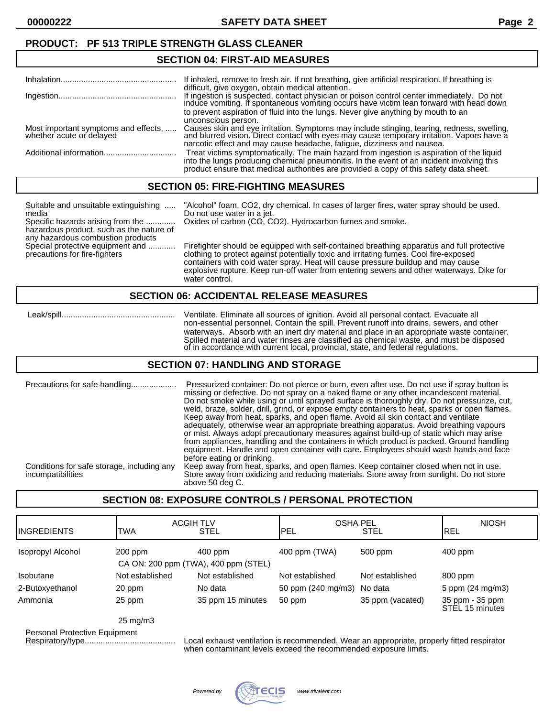## **PRODUCT: PF 513 TRIPLE STRENGTH GLASS CLEANER**

#### **SECTION 04: FIRST-AID MEASURES**

|                                                                  | If inhaled, remove to fresh air. If not breathing, give artificial respiration. If breathing is                                                                                                                                                                                  |
|------------------------------------------------------------------|----------------------------------------------------------------------------------------------------------------------------------------------------------------------------------------------------------------------------------------------------------------------------------|
|                                                                  | difficult, give oxygen, obtain medical attention.<br>If ingestion is suspected, contact physician or poison control center immediately. Do not induce vomiting. If spontaneous vomiting occurs have victim lean forward with head down                                           |
|                                                                  | to prevent aspiration of fluid into the lungs. Never give anything by mouth to an                                                                                                                                                                                                |
|                                                                  | unconscious person.                                                                                                                                                                                                                                                              |
| Most important symptoms and effects,<br>whether acute or delayed | Causes skin and eye irritation. Symptoms may include stinging, tearing, redness, swelling, and blurred vision. Direct contact with eyes may cause temporary irritation. Vapors have a<br>narcotic effect and may cause headache, fatigue, dizziness and nausea.                  |
|                                                                  | Treat victims symptomatically. The main hazard from ingestion is aspiration of the liquid<br>into the lungs producing chemical pneumonitis. In the event of an incident involving this<br>product ensure that medical authorities are provided a copy of this safety data sheet. |

#### **SECTION 05: FIRE-FIGHTING MEASURES**

| Suitable and unsuitable extinguishing<br>media<br>Specific hazards arising from the<br>hazardous product, such as the nature of<br>any hazardous combustion products | "Alcohol" foam, CO2, dry chemical. In cases of larger fires, water spray should be used.<br>Do not use water in a jet.<br>Oxides of carbon (CO, CO2). Hydrocarbon fumes and smoke.                                                                                                                                                                                                    |
|----------------------------------------------------------------------------------------------------------------------------------------------------------------------|---------------------------------------------------------------------------------------------------------------------------------------------------------------------------------------------------------------------------------------------------------------------------------------------------------------------------------------------------------------------------------------|
| Special protective equipment and<br>precautions for fire-fighters                                                                                                    | Firefighter should be equipped with self-contained breathing apparatus and full protective<br>clothing to protect against potentially toxic and irritating fumes. Cool fire-exposed<br>containers with cold water spray. Heat will cause pressure buildup and may cause<br>explosive rupture. Keep run-off water from entering sewers and other waterways. Dike for<br>water control. |

#### **SECTION 06: ACCIDENTAL RELEASE MEASURES**

 Leak/spill.................................................. Ventilate. Eliminate all sources of ignition. Avoid all personal contact. Evacuate all non-essential personnel. Contain the spill. Prevent runoff into drains, sewers, and other waterways. Absorb with an inert dry material and place in an appropriate waste container. Spilled material and water rinses are classified as chemical waste, and must be disposed of in accordance with current local, provincial, state, and federal regulations.

#### **SECTION 07: HANDLING AND STORAGE**

| Precautions for safe handling                                   | Pressurized container: Do not pierce or burn, even after use. Do not use if spray button is<br>missing or defective. Do not spray on a naked flame or any other incandescent material.<br>Do not smoke while using or until sprayed surface is thoroughly dry. Do not pressurize, cut,<br>weld, braze, solder, drill, grind, or expose empty containers to heat, sparks or open flames.<br>Keep away from heat, sparks, and open flame. Avoid all skin contact and ventilate<br>adequately, otherwise wear an appropriate breathing apparatus. Avoid breathing vapours<br>or mist. Always adopt precautionary measures against build-up of static which may arise<br>from appliances, handling and the containers in which product is packed. Ground handling<br>equipment. Handle and open container with care. Employees should wash hands and face<br>before eating or drinking. |
|-----------------------------------------------------------------|-------------------------------------------------------------------------------------------------------------------------------------------------------------------------------------------------------------------------------------------------------------------------------------------------------------------------------------------------------------------------------------------------------------------------------------------------------------------------------------------------------------------------------------------------------------------------------------------------------------------------------------------------------------------------------------------------------------------------------------------------------------------------------------------------------------------------------------------------------------------------------------|
| Conditions for safe storage, including any<br>incompatibilities | Keep away from heat, sparks, and open flames. Keep container closed when not in use.<br>Store away from oxidizing and reducing materials. Store away from sunlight. Do not store<br>above 50 deg C.                                                                                                                                                                                                                                                                                                                                                                                                                                                                                                                                                                                                                                                                                 |

## **SECTION 08: EXPOSURE CONTROLS / PERSONAL PROTECTION**

| <b>INGREDIENTS</b> | <b>ACGIH TLV</b><br>TWA                           | <b>STEL</b>       | <b>OSHA PEL</b><br>IPEL | <b>STEL</b>      | <b>NIOSH</b><br><b>IREL</b>        |
|--------------------|---------------------------------------------------|-------------------|-------------------------|------------------|------------------------------------|
| Isopropyl Alcohol  | $200$ ppm<br>CA ON: 200 ppm (TWA), 400 ppm (STEL) | $400$ ppm         | 400 ppm (TWA)           | 500 ppm          | $400$ ppm                          |
| Isobutane          | Not established                                   | Not established   | Not established         | Not established  | 800 ppm                            |
| 2-Butoxyethanol    | 20 ppm                                            | No data           | 50 ppm (240 mg/m3)      | No data          | 5 ppm (24 mg/m3)                   |
| Ammonia            | 25 ppm                                            | 35 ppm 15 minutes | 50 ppm                  | 35 ppm (vacated) | 35 ppm - 35 ppm<br>STEL 15 minutes |
|                    | $   -$                                            |                   |                         |                  |                                    |

25 mg/m3

Personal Protective Equipment

Local exhaust ventilation is recommended. Wear an appropriate, properly fitted respirator when contaminant levels exceed the recommended exposure limits.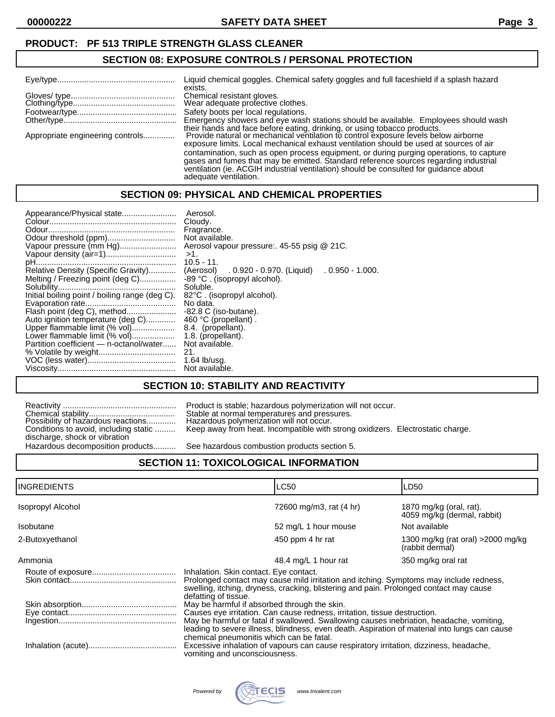#### **PRODUCT: PF 513 TRIPLE STRENGTH GLASS CLEANER**

#### **SECTION 08: EXPOSURE CONTROLS / PERSONAL PROTECTION**

|                                  | Liquid chemical goggles. Chemical safety goggles and full faceshield if a splash hazard<br>exists.                                                                                                                                                                                                |
|----------------------------------|---------------------------------------------------------------------------------------------------------------------------------------------------------------------------------------------------------------------------------------------------------------------------------------------------|
|                                  | Chemical resistant gloves.<br>Wear adequate profective clothes.                                                                                                                                                                                                                                   |
|                                  | Safety boots per local regulations.                                                                                                                                                                                                                                                               |
|                                  | Emergency showers and eye wash stations should be available. Employees should wash                                                                                                                                                                                                                |
| Appropriate engineering controls | their hands and face before eating, drinking, or using tobacco products.<br>Provide natural or mechanical ventilation to control exposure levels below airborne<br>exposure limits. Local mechanical exhaust ventilation should be used at sources of air                                         |
|                                  | contamination, such as open process equipment, or during purging operations, to capture<br>gases and fumes that may be emitted. Standard reference sources regarding industrial<br>ventilation (ie. ACGIH industrial ventilation) should be consulted for quidance about<br>adequate ventilation. |

#### **SECTION 09: PHYSICAL AND CHEMICAL PROPERTIES**

| Appearance/Physical state<br>Vapour pressure (mm Hg)<br>Relative Density (Specific Gravity)<br>Melting / Freezing point (deg C)<br>Initial boiling point / boiling range (deg C).<br>Flash point (deg C), method<br>Auto ignition temperature (deg C)<br>Upper flammable limit (% vol)<br>Lower flammable limit (% vol)<br>Partition coefficient — n-octanol/water | Aerosol.<br>Cloudy.<br>Fragrance.<br>Not available.<br>Aerosol vapour pressure: 45-55 psig @ 21C.<br>$>1$ .<br>$10.5 - 11.$<br>(Aerosol) . 0.920 - 0.970. (Liquid)<br>$0.950$ - 1.000.<br>-89 °C. (isopropyl alcohol).<br>Soluble.<br>82°C. (isopropyl alcohol).<br>No data.<br>$-82.8$ C (iso-butane).<br>460 °C (propellant).<br>8.4. (propellant).<br>1.8. (propellant).<br>Not available.<br>21.<br>$1.64$ lb/usq. |
|--------------------------------------------------------------------------------------------------------------------------------------------------------------------------------------------------------------------------------------------------------------------------------------------------------------------------------------------------------------------|------------------------------------------------------------------------------------------------------------------------------------------------------------------------------------------------------------------------------------------------------------------------------------------------------------------------------------------------------------------------------------------------------------------------|
|                                                                                                                                                                                                                                                                                                                                                                    | Not available.                                                                                                                                                                                                                                                                                                                                                                                                         |

## **SECTION 10: STABILITY AND REACTIVITY**

|                                       | Product is stable; hazardous polymerizati                                           |
|---------------------------------------|-------------------------------------------------------------------------------------|
| Possibility of hazardous reactions    | Stable at normal temperatures and press<br>Hazardous polymerization will not occur. |
| Conditions to avoid, including static | Keep away from heat. Incompatible with                                              |
| discharge, shock or vibration         |                                                                                     |
| Hazardous decomposition products      | See hazardous combustion products sec                                               |

Product is stable; hazardous polymerization will not occur. Chemical stability...................................... Stable at normal temperatures and pressures. Keep away from heat. Incompatible with strong oxidizers. Electrostatic charge.

See hazardous combustion products section 5.

## **SECTION 11: TOXICOLOGICAL INFORMATION**

|                                                                                                                                                                                                                                                                                                                                                                  |                      | LD <sub>50</sub>                                                                                                                                           |
|------------------------------------------------------------------------------------------------------------------------------------------------------------------------------------------------------------------------------------------------------------------------------------------------------------------------------------------------------------------|----------------------|------------------------------------------------------------------------------------------------------------------------------------------------------------|
|                                                                                                                                                                                                                                                                                                                                                                  |                      | 1870 mg/kg (oral, rat).<br>4059 mg/kg (dermal, rabbit)                                                                                                     |
|                                                                                                                                                                                                                                                                                                                                                                  |                      | Not available                                                                                                                                              |
|                                                                                                                                                                                                                                                                                                                                                                  |                      | 1300 mg/kg (rat oral) > 2000 mg/kg<br>(rabbit dermal)                                                                                                      |
|                                                                                                                                                                                                                                                                                                                                                                  |                      | 350 mg/kg oral rat                                                                                                                                         |
| Inhalation. Skin contact. Eye contact.<br>Prolonged contact may cause mild irritation and itching. Symptoms may include redness,<br>swelling, itching, dryness, cracking, blistering and pain. Prolonged contact may cause                                                                                                                                       |                      |                                                                                                                                                            |
|                                                                                                                                                                                                                                                                                                                                                                  |                      |                                                                                                                                                            |
| Causes eye irritation. Can cause redness, irritation, tissue destruction.                                                                                                                                                                                                                                                                                        |                      |                                                                                                                                                            |
| May be harmful or fatal if swallowed. Swallowing causes inebriation, headache, vomiting,<br>leading to severe illness, blindness, even death. Aspiration of material into lungs can cause<br>chemical pneumonitis which can be fatal.<br>Excessive inhalation of vapours can cause respiratory irritation, dizziness, headache,<br>vomiting and unconsciousness. |                      |                                                                                                                                                            |
|                                                                                                                                                                                                                                                                                                                                                                  | defatting of tissue. | <b>LC50</b><br>72600 mg/m3, rat (4 hr)<br>52 mg/L 1 hour mouse<br>450 ppm 4 hr rat<br>48.4 mg/L 1 hour rat<br>May be harmful if absorbed through the skin. |